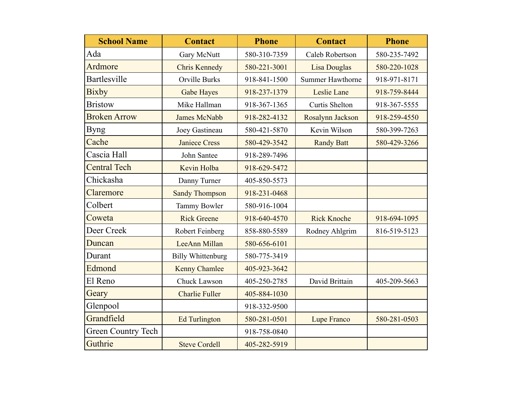| <b>School Name</b>        | <b>Contact</b>           | <b>Phone</b> | <b>Contact</b>      | <b>Phone</b> |
|---------------------------|--------------------------|--------------|---------------------|--------------|
| Ada                       | Gary McNutt              | 580-310-7359 | Caleb Robertson     | 580-235-7492 |
| Ardmore                   | <b>Chris Kennedy</b>     | 580-221-3001 | <b>Lisa Douglas</b> | 580-220-1028 |
| <b>Bartlesville</b>       | Orville Burks            | 918-841-1500 | Summer Hawthorne    | 918-971-8171 |
| <b>Bixby</b>              | <b>Gabe Hayes</b>        | 918-237-1379 | Leslie Lane         | 918-759-8444 |
| <b>Bristow</b>            | Mike Hallman             | 918-367-1365 | Curtis Shelton      | 918-367-5555 |
| <b>Broken Arrow</b>       | <b>James McNabb</b>      | 918-282-4132 | Rosalynn Jackson    | 918-259-4550 |
| <b>Byng</b>               | Joey Gastineau           | 580-421-5870 | Kevin Wilson        | 580-399-7263 |
| Cache                     | <b>Janiece Cress</b>     | 580-429-3542 | <b>Randy Batt</b>   | 580-429-3266 |
| Cascia Hall               | John Santee              | 918-289-7496 |                     |              |
| <b>Central Tech</b>       | Kevin Holba              | 918-629-5472 |                     |              |
| Chickasha                 | Danny Turner             | 405-850-5573 |                     |              |
| Claremore                 | <b>Sandy Thompson</b>    | 918-231-0468 |                     |              |
| Colbert                   | Tammy Bowler             | 580-916-1004 |                     |              |
| Coweta                    | <b>Rick Greene</b>       | 918-640-4570 | <b>Rick Knoche</b>  | 918-694-1095 |
| Deer Creek                | <b>Robert Feinberg</b>   | 858-880-5589 | Rodney Ahlgrim      | 816-519-5123 |
| Duncan                    | LeeAnn Millan            | 580-656-6101 |                     |              |
| Durant                    | <b>Billy Whittenburg</b> | 580-775-3419 |                     |              |
| Edmond                    | <b>Kenny Chamlee</b>     | 405-923-3642 |                     |              |
| El Reno                   | Chuck Lawson             | 405-250-2785 | David Brittain      | 405-209-5663 |
| Geary                     | <b>Charlie Fuller</b>    | 405-884-1030 |                     |              |
| Glenpool                  |                          | 918-332-9500 |                     |              |
| Grandfield                | <b>Ed Turlington</b>     | 580-281-0501 | Lupe Franco         | 580-281-0503 |
| <b>Green Country Tech</b> |                          | 918-758-0840 |                     |              |
| Guthrie                   | <b>Steve Cordell</b>     | 405-282-5919 |                     |              |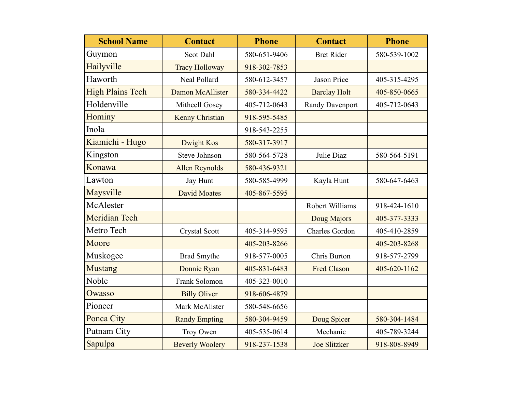| <b>School Name</b>      | <b>Contact</b>         | <b>Phone</b> | <b>Contact</b>        | <b>Phone</b> |
|-------------------------|------------------------|--------------|-----------------------|--------------|
| Guymon                  | Scot Dahl              | 580-651-9406 | <b>Bret Rider</b>     | 580-539-1002 |
| Hailyville              | <b>Tracy Holloway</b>  | 918-302-7853 |                       |              |
| Haworth                 | Neal Pollard           | 580-612-3457 | Jason Price           | 405-315-4295 |
| <b>High Plains Tech</b> | Damon McAllister       | 580-334-4422 | <b>Barclay Holt</b>   | 405-850-0665 |
| Holdenville             | Mithcell Gosey         | 405-712-0643 | Randy Davenport       | 405-712-0643 |
| Hominy                  | <b>Kenny Christian</b> | 918-595-5485 |                       |              |
| Inola                   |                        | 918-543-2255 |                       |              |
| Kiamichi - Hugo         | <b>Dwight Kos</b>      | 580-317-3917 |                       |              |
| Kingston                | <b>Steve Johnson</b>   | 580-564-5728 | Julie Diaz            | 580-564-5191 |
| Konawa                  | <b>Allen Reynolds</b>  | 580-436-9321 |                       |              |
| Lawton                  | Jay Hunt               | 580-585-4999 | Kayla Hunt            | 580-647-6463 |
| Maysville               | <b>David Moates</b>    | 405-867-5595 |                       |              |
| McAlester               |                        |              | Robert Williams       | 918-424-1610 |
| <b>Meridian Tech</b>    |                        |              | Doug Majors           | 405-377-3333 |
| Metro Tech              | <b>Crystal Scott</b>   | 405-314-9595 | <b>Charles Gordon</b> | 405-410-2859 |
| Moore                   |                        | 405-203-8266 |                       | 405-203-8268 |
| Muskogee                | <b>Brad Smythe</b>     | 918-577-0005 | Chris Burton          | 918-577-2799 |
| <b>Mustang</b>          | Donnie Ryan            | 405-831-6483 | <b>Fred Clason</b>    | 405-620-1162 |
| Noble                   | Frank Solomon          | 405-323-0010 |                       |              |
| Owasso                  | <b>Billy Oliver</b>    | 918-606-4879 |                       |              |
| Pioneer                 | Mark McAlister         | 580-548-6656 |                       |              |
| Ponca City              | <b>Randy Empting</b>   | 580-304-9459 | Doug Spicer           | 580-304-1484 |
| Putnam City             | Troy Owen              | 405-535-0614 | Mechanic              | 405-789-3244 |
| Sapulpa                 | <b>Beverly Woolery</b> | 918-237-1538 | <b>Joe Slitzker</b>   | 918-808-8949 |